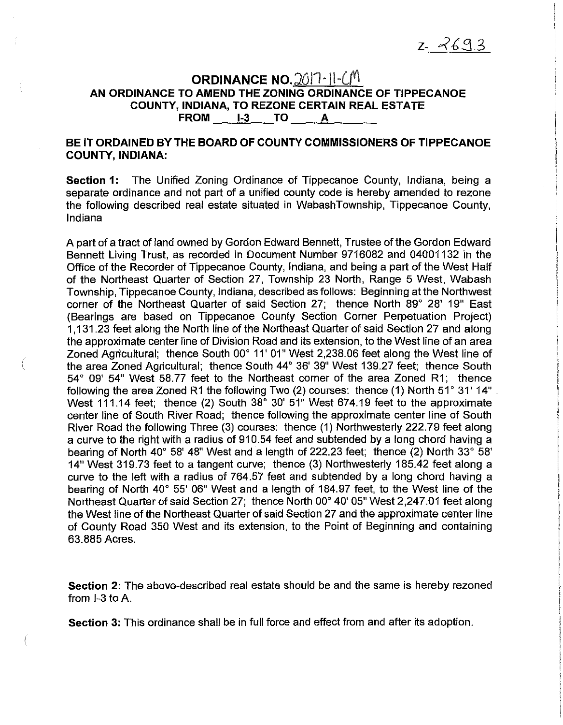# **ORDINANCE NO. 2617-11-CM AN ORDINANCE TO AMEND THE ZONING ORDINANCE OF TIPPECANOE COUNTY, INDIANA, TO REZONE CERTAIN REAL ESTATE FROM 1-3 TO \_\_ A'-"-----**

# **BE IT ORDAINED BY THE BOARD OF COUNTY COMMISSIONERS OF TIPPECANOE COUNTY, INDIANA:**

**Section 1:** The Unified Zoning Ordinance of Tippecanoe County, Indiana, being a separate ordinance and not part of a unified county code is hereby amended to rezone the following described real estate situated in WabashTownship, Tippecanoe County, Indiana

A part of a tract of land owned by Gordon Edward Bennett, Trustee of the Gordon Edward Bennett Living Trust, as recorded in Document Number 9716082 and 04001132 in the Office of the Recorder of Tippecanoe County, Indiana, and being a part of the West Half of the Northeast Quarter of Section 27, Township 23 North, Range 5 West, Wabash Township, Tippecanoe County, Indiana, described as follows: Beginning at the Northwest corner of the Northeast Quarter of said Section 27; thence North 89° 28' 19" East (Bearings are based on Tippecanoe County Section Corner Perpetuation Project) 1, 131.23 feet along the North line of the Northeast Quarter of said Section 27 and along the approximate center line of Division Road and its extension, to the West line of an area Zoned Agricultural; thence South 00° 11' 01" West 2,238.06 feet along the West line of the area Zoned Agricultural; thence South 44° 36' 39" West 139.27 feet; thence South 54° 09' 54" West 58.77 feet to the Northeast corner of the area Zoned R1; thence following the area Zoned R1 the following Two (2) courses: thence (1) North 51° 31' 14" West 111.14 feet; thence (2) South 38° 30' 51" West 674.19 feet to the approximate center line of South River Road; thence following the approximate center line of South River Road the following Three (3) courses: thence (1) Northwesterly 222.79 feet along a curve to the right with a radius of 910.54 feet and subtended by a long chord having a bearing of North 40° 58' 48" West and a length of 222.23 feet; thence (2) North 33° 58' 14" West 319.73 feet to a tangent curve; thence (3) Northwesterly 185.42 feet along a curve to the left with a radius of 764.57 feet and subtended by a long chord having a bearing of North 40° 55' 06" West and a length of 184.97 feet, to the West line of the Northeast Quarter of said Section 27; thence North 00° 40' 05" West 2,247.01 feet along the West line of the Northeast Quarter of said Section 27 and the approximate center line of County Road 350 West and its extension, to the Point of Beginning and containing 63.885 Acres.

**Section 2:** The above-described real estate should be and the same is hereby rezoned from 1-3 to A.

**Section 3:** This ordinance shall be in full force and effect from and after its adoption.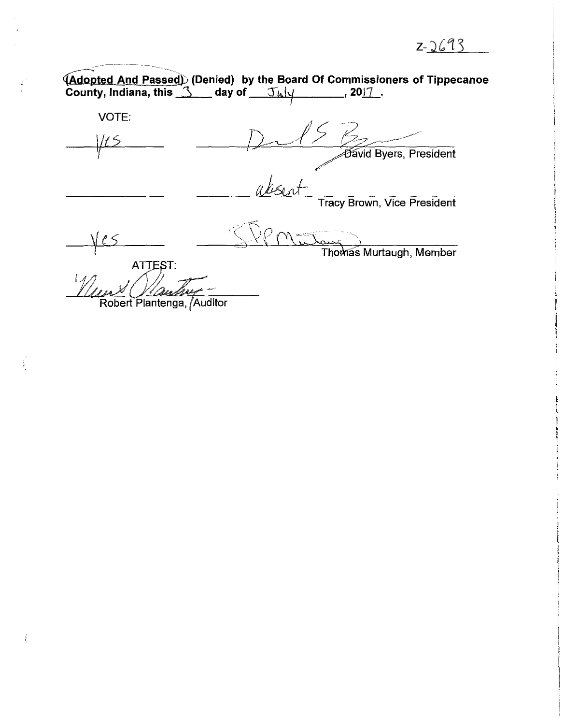$Z - 2693$ 

| County, Indiana, this $\frac{3}{2}$ day of $\frac{3}{2}$ | (Adopted And Passed) (Denied) by the Board Of Commissioners of Tippecanoe<br>$, 2017$ . |
|----------------------------------------------------------|-----------------------------------------------------------------------------------------|
| <b>VOTE:</b>                                             |                                                                                         |
|                                                          |                                                                                         |
|                                                          | David Byers, President                                                                  |
|                                                          |                                                                                         |
|                                                          | <b>Tracy Brown, Vice President</b>                                                      |
|                                                          |                                                                                         |
| ATTEST.                                                  | <b>Thomas Murtaugh, Member</b>                                                          |
| . I 9 a                                                  |                                                                                         |

Robert Plantenga, (Auditor

 $\bar{1}$ 

 $\frac{1}{2}$ 

 $\hat{f}$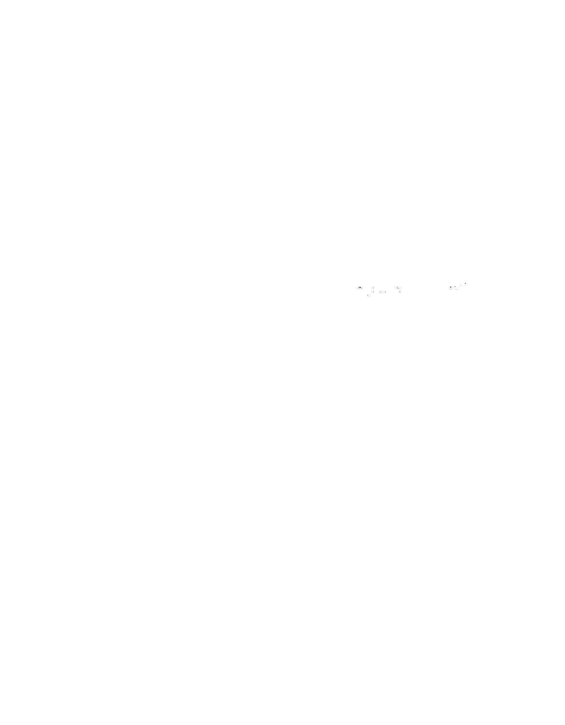$\label{eq:R1} \begin{split} \mathbf{A}\mathbf{a} & = \frac{1}{2}\left(1-\frac{1}{2}\right)\mathbf{a}^2 + \frac{1}{2}\mathbf{a}^2 + \frac{1}{2}\mathbf{a}^2 + \frac{1}{2}\mathbf{a}^2 + \frac{1}{2}\mathbf{a}^2 + \frac{1}{2}\mathbf{a}^2 + \frac{1}{2}\mathbf{a}^2 + \frac{1}{2}\mathbf{a}^2 + \frac{1}{2}\mathbf{a}^2 + \frac{1}{2}\mathbf{a}^2 + \frac{1}{2}\mathbf{a}^2 + \frac{1}{2}\mathbf{a}^2 + \frac$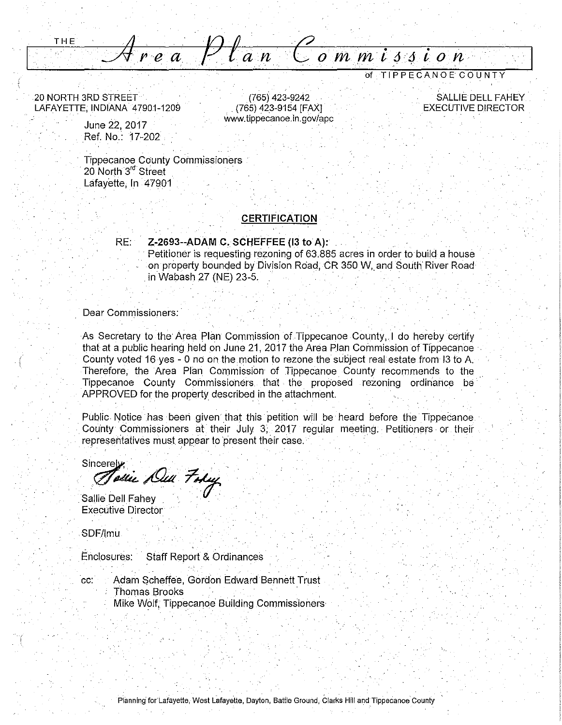lan Commission

of TIPPECANOECOUNTY

20 NORTH 3RD STREET LAFAYETTE, INDIANA 47901-1209

THE

June 22, 2017 Ref. No.: 17-202

(765) 423-9242 (765) 423-9154 [FAX] www.tippecanoe.in.gov/apc

SALLIE DELL FAHEY EXECUTIVE DIRECTOR

 $\vert$ 

Tippecanoe County Commissioners  $20$  North 3 $^{\circ}$  Street . The street . The street . The street is a street . The street is a street in the street  $\sim$ Lafayette; In 47901

#### **CERTIFICATION**

**RE: Z-2693--ADAM C. SCHEFFEE (13 to A):** 

Petitioher is requesting rezoning of 63.885 acres in order to build a house on property bounded by Division Road, CR 350 W, and South River Road in Wabash 27 (NE) 23-5.

Dear Commissioners:

As Secretary to the Area Plan Commission of Tippecanoe County, I do hereby certify that at a public hearing held on June 21, 2017 the Area Plan Commission of Tippecanoe County voted 16 yes - 0 no on the motion to rezone the subject real estate from 13 to A. Therefore, the Area Plan. Commission of Tippecanoe County recommends to the Tippecanoe County Commissioners that the proposed rezoning ordinance be APPROVED for the property described in the attachment.

Public Notice has been given that this petition will be heard before the Tippecanoe County Commissioners at their July 3, 2017 regular meeting. Petitioners or their representatives must appear to present their case.

Jollie Dell Foly

Sallie Dell Fahey Executive Director

SDF/lmu

Endosures: Staff Report & Ordinances

- cc: Adam Scheffee, Gordon Edward Bennett Trust Thomas Brooks
	- Mike Wolf, Tippecanoe Building Commissioners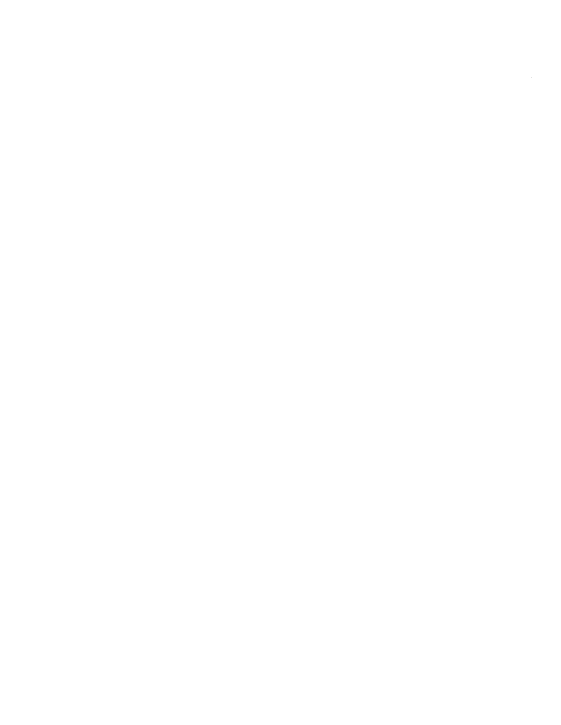$\sim 10^6$ 

 $\label{eq:2.1} \frac{1}{\sqrt{2}}\int_{\mathbb{R}^3}\frac{1}{\sqrt{2}}\left(\frac{1}{\sqrt{2}}\right)^2\frac{1}{\sqrt{2}}\left(\frac{1}{\sqrt{2}}\right)^2\frac{1}{\sqrt{2}}\left(\frac{1}{\sqrt{2}}\right)^2.$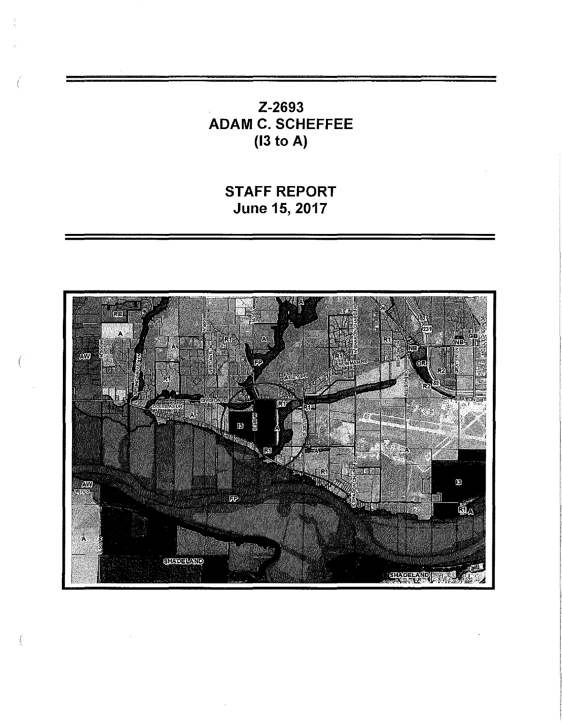Z-2693 ADAM C. SCHEFFEE (13 to A)

> STAFF REPORT June 15, 2017

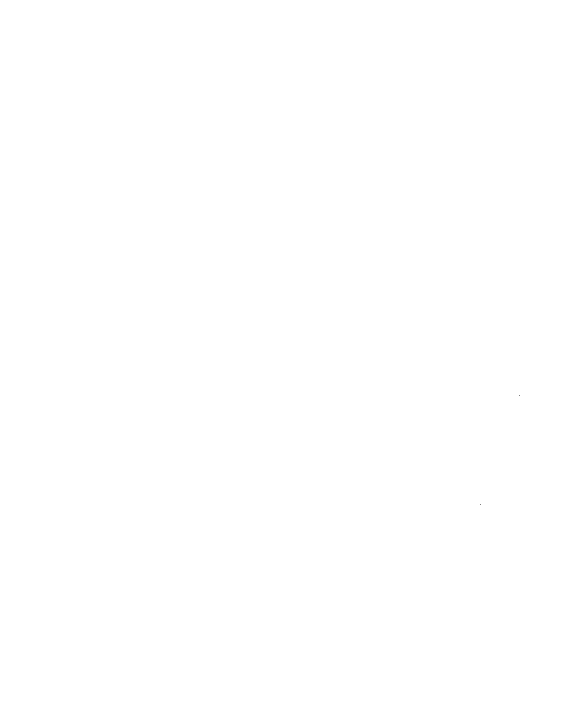$\label{eq:2.1} \frac{1}{\sqrt{2}}\int_{\mathbb{R}^3}\frac{1}{\sqrt{2}}\left(\frac{1}{\sqrt{2}}\right)^2\left(\frac{1}{\sqrt{2}}\right)^2\left(\frac{1}{\sqrt{2}}\right)^2\left(\frac{1}{\sqrt{2}}\right)^2\left(\frac{1}{\sqrt{2}}\right)^2\left(\frac{1}{\sqrt{2}}\right)^2\left(\frac{1}{\sqrt{2}}\right)^2\left(\frac{1}{\sqrt{2}}\right)^2\left(\frac{1}{\sqrt{2}}\right)^2\left(\frac{1}{\sqrt{2}}\right)^2\left(\frac{1}{\sqrt{2}}\right)^2\left(\frac$  $\mathcal{L}^{\text{max}}_{\text{max}}$ 

 $\label{eq:2.1} \frac{1}{2} \sum_{i=1}^n \frac{1}{2} \sum_{j=1}^n \frac{1}{2} \sum_{j=1}^n \frac{1}{2} \sum_{j=1}^n \frac{1}{2} \sum_{j=1}^n \frac{1}{2} \sum_{j=1}^n \frac{1}{2} \sum_{j=1}^n \frac{1}{2} \sum_{j=1}^n \frac{1}{2} \sum_{j=1}^n \frac{1}{2} \sum_{j=1}^n \frac{1}{2} \sum_{j=1}^n \frac{1}{2} \sum_{j=1}^n \frac{1}{2} \sum_{j=1}^n \frac{$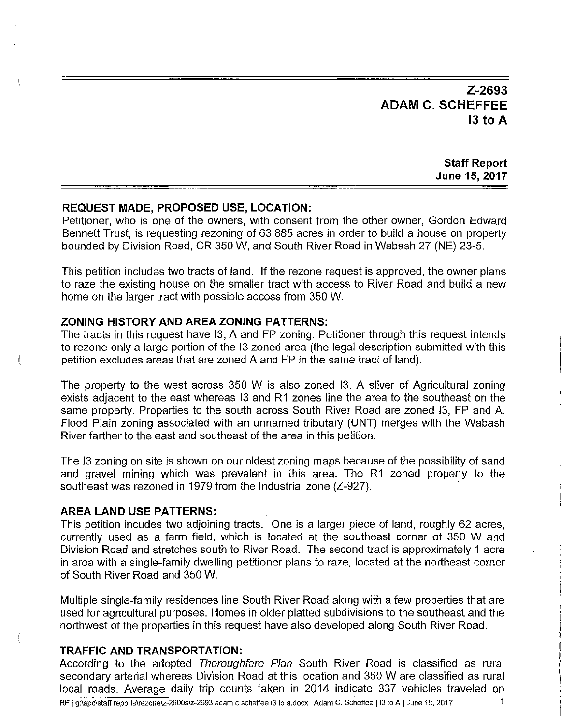**Z-2693 ADAM C. SCHEFFEE <sup>13</sup>to A** 

> **Staff Report June 15, 2017**

### **REQUEST MADE, PROPOSED USE, LOCATION:**

Petitioner, who is one of the owners, with consent from the other owner, Gordon Edward Bennett Trust, is requesting rezoning of 63.885 acres in order to build a house on property bounded by Division Road, CR 350 W, and South River Road in Wabash 27 (NE) 23-5.

This petition includes two tracts of land. If the rezone request is approved, the owner plans to raze the existing house on the smaller tract with access to River Road and build a new home on the larger tract with possible access from 350 W.

## **ZONING HISTORY AND AREA ZONING PATTERNS:**

The tracts in this request have 13, A and FP zoning. Petitioner through this request intends to rezone only a large portion of the 13 zoned area (the legal description submitted with this petition excludes areas that are zoned A and FP in the same tract of land).

The property to the west across 350 W is also zoned 13. A sliver of Agricultural zoning exists adjacent to the east whereas 13 and R1 zones line the area to the southeast on the same property. Properties to the south across South River Road are zoned 13, FP and A. Flood Plain zoning associated with an unnamed tributary (UNT) merges with the Wabash River farther to the east and southeast of the area in this petition.

The 13 zoning on site is shown on our oldest zoning maps because of the possibility of sand and gravel mining which was prevalent in this area. The R1 zoned property to the southeast was rezoned in 1979 from the Industrial zone (Z-927).

#### **AREA LAND USE PATTERNS:**

This petition incudes two adjoining tracts. One is a larger piece of land, roughly 62 acres, currently used as a farm field, which is located at the southeast corner of 350 W and Division Road and stretches south to River Road. The second tract is approximately 1 acre in area with a single-family dwelling petitioner plans to raze, located at the northeast corner of South River Road and 350 W.

Multiple single-family residences line South River Road along with a few properties that are used for agricultural purposes. Homes in older platted subdivisions to the southeast and the northwest of the properties in this request have also developed along South River Road.

#### **TRAFFIC AND TRANSPORTATION:**

According to the adopted Thoroughfare Plan South River Road is classified as rural secondary arterial whereas Division Road at this location and 350 W are classified as rural local roads. Average daily trip counts taken in 2014 indicate 337 vehicles traveled on

 $\overline{1}$